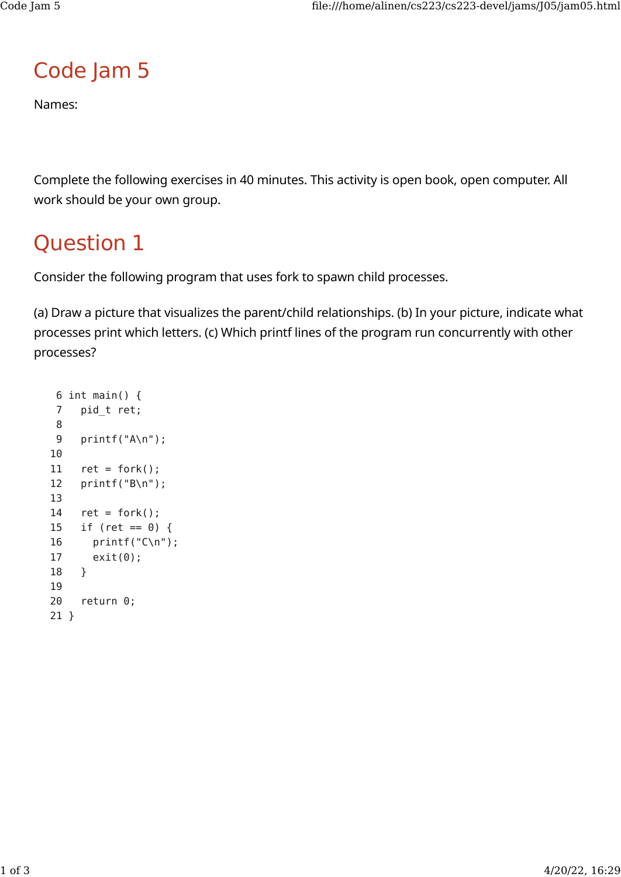## Code Jam 5

Names:

Complete the following exercises in 40 minutes. This activity is open book, open computer. All work should be your own group.

## Question 1

Consider the following program that uses fork to spawn child processes.

(a) Draw a picture that visualizes the parent/child relationships. (b) In your picture, indicate what processes print which letters. (c) Which printf lines of the program run concurrently with other processes?

```
 6 int main() {
  7 pid_t ret;
  8
  9 printf("A\n");
 10
11 ret = fork();
 12 printf("B\n");
 13
14 ret = fork();
 15 if (ret == 0) {
 16 printf("C\n");
 17 exit(0);
 18 }
 19
 20 return 0;
 21 }
```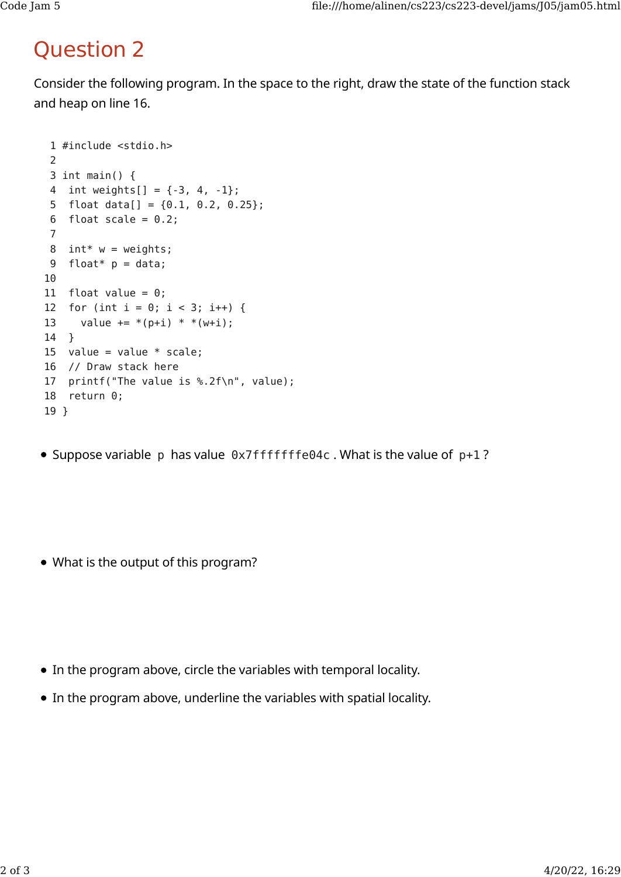## Question 2

Consider the following program. In the space to the right, draw the state of the function stack and heap on line 16.

```
 1 #include <stdio.h>
 \mathcal{L} 3 int main() {
 4 int weights[ ] = { -3, 4, -1 };5 float data[] = {0.1, 0.2, 0.25};
 6 float scale = 0.2;
  7
8 int* w = weights;
9 float* p = data;10
11 float value = 0;
12 for (int i = 0; i < 3; i++) {
13 value += * (p+i) * * (w+i);14 }
15 value = value * scale;
16 // Draw stack here
17 printf("The value is %.2f\n", value);
18 return 0;
19 }
```
• Suppose variable p has value  $0 \times 7$  fffffffe04c. What is the value of  $p+1$ ?

What is the output of this program?

- In the program above, circle the variables with temporal locality.
- In the program above, underline the variables with spatial locality.